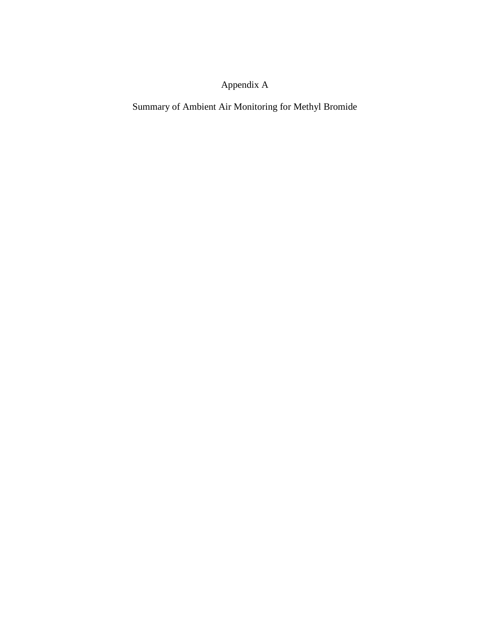# Appendix A

Summary of Ambient Air Monitoring for Methyl Bromide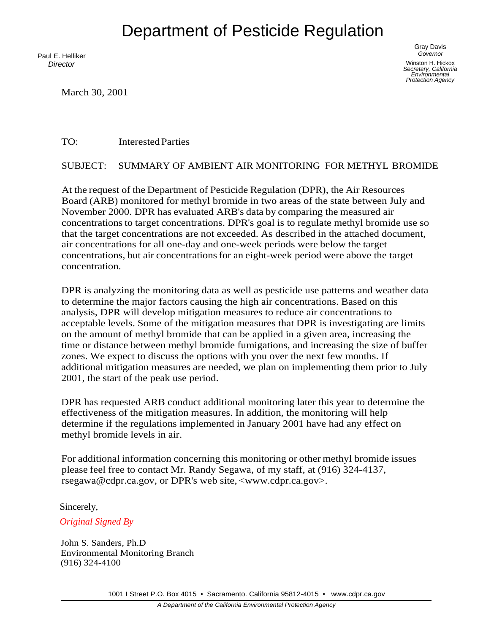# Department of Pesticide Regulation

Paul E. Helliker *Director*

March 30, 2001

Gray Davis *Governor* Winston H. Hickox *Secretary, California Environmental Protection Agency*

TO: Interested Parties

SUBJECT: SUMMARY OF AMBIENT AIR MONITORING FOR METHYL BROMIDE

At the request of the Department of Pesticide Regulation (DPR), the Air Resources Board (ARB) monitored for methyl bromide in two areas of the state between July and November 2000. DPR has evaluated ARB's data by comparing the measured air concentrations to target concentrations. DPR's goal is to regulate methyl bromide use so that the target concentrations are not exceeded. As described in the attached document, air concentrations for all one-day and one-week periods were below the target concentrations, but air concentrations for an eight-week period were above the target concentration.

DPR is analyzing the monitoring data as well as pesticide use patterns and weather data to determine the major factors causing the high air concentrations. Based on this analysis, DPR will develop mitigation measures to reduce air concentrations to acceptable levels. Some of the mitigation measures that DPR is investigating are limits on the amount of methyl bromide that can be applied in a given area, increasing the time or distance between methyl bromide fumigations, and increasing the size of buffer zones. We expect to discuss the options with you over the next few months. If additional mitigation measures are needed, we plan on implementing them prior to July 2001, the start of the peak use period.

DPR has requested ARB conduct additional monitoring later this year to determine the effectiveness of the mitigation measures. In addition, the monitoring will help determine if the regulations implemented in January 2001 have had any effect on methyl bromide levels in air.

For additional information concerning this monitoring or other methyl bromide issues please feel free to contact Mr. Randy Segawa, of my staff, at (916) 324-4137, [rsegawa@cdpr.ca.gov,](mailto:rsegawa@cdpr.ca.gov) or DPR's web site, [<www.cdpr.ca.gov>.](http://www.cdpr.ca.gov/)

Sincerely,

*Original Signed By* 

John S. Sanders, Ph.D Environmental Monitoring Branch (916) 324-4100

1001 I Street P.O. Box 4015 • Sacramento. California 95812-4015 • [www.cdpr.ca.gov](http://www.cdpr.ca.gov/)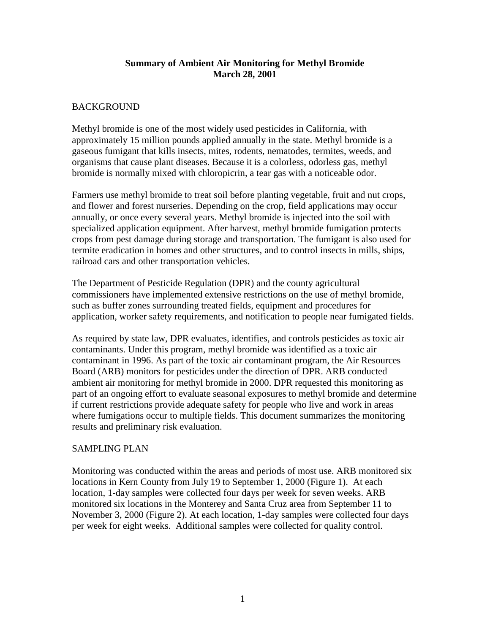#### **Summary of Ambient Air Monitoring for Methyl Bromide March 28, 2001**

#### BACKGROUND

Methyl bromide is one of the most widely used pesticides in California, with approximately 15 million pounds applied annually in the state. Methyl bromide is a gaseous fumigant that kills insects, mites, rodents, nematodes, termites, weeds, and organisms that cause plant diseases. Because it is a colorless, odorless gas, methyl bromide is normally mixed with chloropicrin, a tear gas with a noticeable odor.

Farmers use methyl bromide to treat soil before planting vegetable, fruit and nut crops, and flower and forest nurseries. Depending on the crop, field applications may occur annually, or once every several years. Methyl bromide is injected into the soil with specialized application equipment. After harvest, methyl bromide fumigation protects crops from pest damage during storage and transportation. The fumigant is also used for termite eradication in homes and other structures, and to control insects in mills, ships, railroad cars and other transportation vehicles.

The Department of Pesticide Regulation (DPR) and the county agricultural commissioners have implemented extensive restrictions on the use of methyl bromide, such as buffer zones surrounding treated fields, equipment and procedures for application, worker safety requirements, and notification to people near fumigated fields.

As required by state law, DPR evaluates, identifies, and controls pesticides as toxic air contaminants. Under this program, methyl bromide was identified as a toxic air contaminant in 1996. As part of the toxic air contaminant program, the Air Resources Board (ARB) monitors for pesticides under the direction of DPR. ARB conducted ambient air monitoring for methyl bromide in 2000. DPR requested this monitoring as part of an ongoing effort to evaluate seasonal exposures to methyl bromide and determine if current restrictions provide adequate safety for people who live and work in areas where fumigations occur to multiple fields. This document summarizes the monitoring results and preliminary risk evaluation.

#### SAMPLING PLAN

Monitoring was conducted within the areas and periods of most use. ARB monitored six locations in Kern County from July 19 to September 1, 2000 (Figure 1). At each location, 1-day samples were collected four days per week for seven weeks. ARB monitored six locations in the Monterey and Santa Cruz area from September 11 to November 3, 2000 (Figure 2). At each location, 1-day samples were collected four days per week for eight weeks. Additional samples were collected for quality control.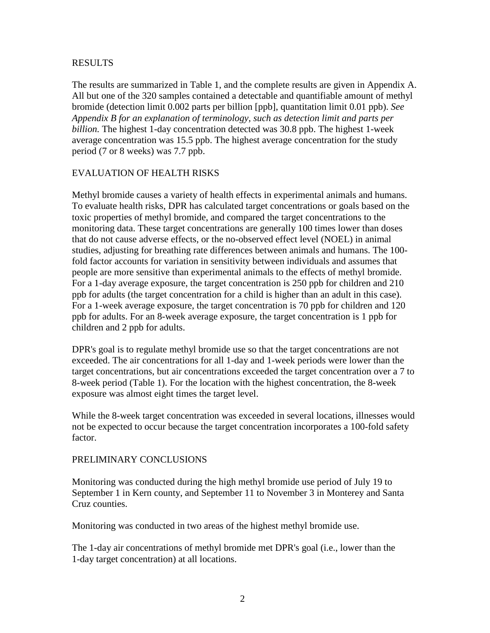#### RESULTS

The results are summarized in Table 1, and the complete results are given in Appendix A. All but one of the 320 samples contained a detectable and quantifiable amount of methyl bromide (detection limit 0.002 parts per billion [ppb], quantitation limit 0.01 ppb). *See Appendix B for an explanation of terminology, such as detection limit and parts per billion.* The highest 1-day concentration detected was 30.8 ppb. The highest 1-week average concentration was 15.5 ppb. The highest average concentration for the study period (7 or 8 weeks) was 7.7 ppb.

#### EVALUATION OF HEALTH RISKS

Methyl bromide causes a variety of health effects in experimental animals and humans. To evaluate health risks, DPR has calculated target concentrations or goals based on the toxic properties of methyl bromide, and compared the target concentrations to the monitoring data. These target concentrations are generally 100 times lower than doses that do not cause adverse effects, or the no-observed effect level (NOEL) in animal studies, adjusting for breathing rate differences between animals and humans. The 100 fold factor accounts for variation in sensitivity between individuals and assumes that people are more sensitive than experimental animals to the effects of methyl bromide. For a 1-day average exposure, the target concentration is 250 ppb for children and 210 ppb for adults (the target concentration for a child is higher than an adult in this case). For a 1-week average exposure, the target concentration is 70 ppb for children and 120 ppb for adults. For an 8-week average exposure, the target concentration is 1 ppb for children and 2 ppb for adults.

DPR's goal is to regulate methyl bromide use so that the target concentrations are not exceeded. The air concentrations for all 1-day and 1-week periods were lower than the target concentrations, but air concentrations exceeded the target concentration over a 7 to 8-week period (Table 1). For the location with the highest concentration, the 8-week exposure was almost eight times the target level.

While the 8-week target concentration was exceeded in several locations, illnesses would not be expected to occur because the target concentration incorporates a 100-fold safety factor.

#### PRELIMINARY CONCLUSIONS

Monitoring was conducted during the high methyl bromide use period of July 19 to September 1 in Kern county, and September 11 to November 3 in Monterey and Santa Cruz counties.

Monitoring was conducted in two areas of the highest methyl bromide use.

The 1-day air concentrations of methyl bromide met DPR's goal (i.e., lower than the 1-day target concentration) at all locations.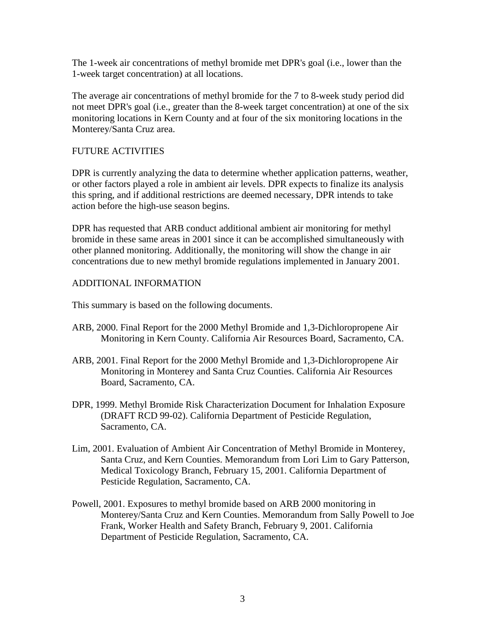The 1-week air concentrations of methyl bromide met DPR's goal (i.e., lower than the 1-week target concentration) at all locations.

The average air concentrations of methyl bromide for the 7 to 8-week study period did not meet DPR's goal (i.e., greater than the 8-week target concentration) at one of the six monitoring locations in Kern County and at four of the six monitoring locations in the Monterey/Santa Cruz area.

### FUTURE ACTIVITIES

DPR is currently analyzing the data to determine whether application patterns, weather, or other factors played a role in ambient air levels. DPR expects to finalize its analysis this spring, and if additional restrictions are deemed necessary, DPR intends to take action before the high-use season begins.

DPR has requested that ARB conduct additional ambient air monitoring for methyl bromide in these same areas in 2001 since it can be accomplished simultaneously with other planned monitoring. Additionally, the monitoring will show the change in air concentrations due to new methyl bromide regulations implemented in January 2001.

## ADDITIONAL INFORMATION

This summary is based on the following documents.

- ARB, 2000. Final Report for the 2000 Methyl Bromide and 1,3-Dichloropropene Air Monitoring in Kern County. California Air Resources Board, Sacramento, CA.
- ARB, 2001. Final Report for the 2000 Methyl Bromide and 1,3-Dichloropropene Air Monitoring in Monterey and Santa Cruz Counties. California Air Resources Board, Sacramento, CA.
- DPR, 1999. Methyl Bromide Risk Characterization Document for Inhalation Exposure (DRAFT RCD 99-02). California Department of Pesticide Regulation, Sacramento, CA.
- Lim, 2001. Evaluation of Ambient Air Concentration of Methyl Bromide in Monterey, Santa Cruz, and Kern Counties. Memorandum from Lori Lim to Gary Patterson, Medical Toxicology Branch, February 15, 2001. California Department of Pesticide Regulation, Sacramento, CA.
- Powell, 2001. Exposures to methyl bromide based on ARB 2000 monitoring in Monterey/Santa Cruz and Kern Counties. Memorandum from Sally Powell to Joe Frank, Worker Health and Safety Branch, February 9, 2001. California Department of Pesticide Regulation, Sacramento, CA.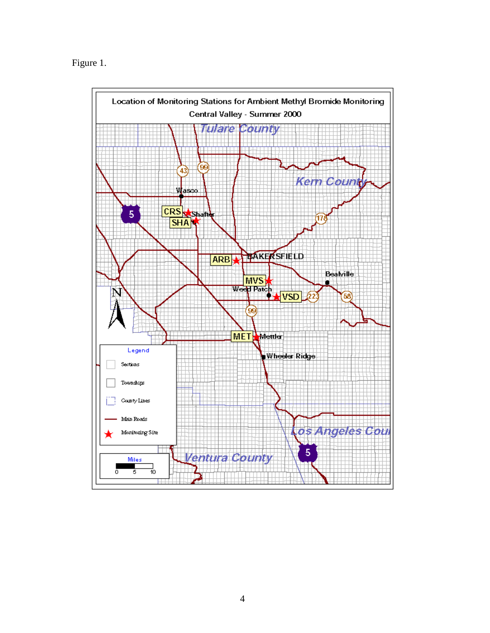Figure 1.

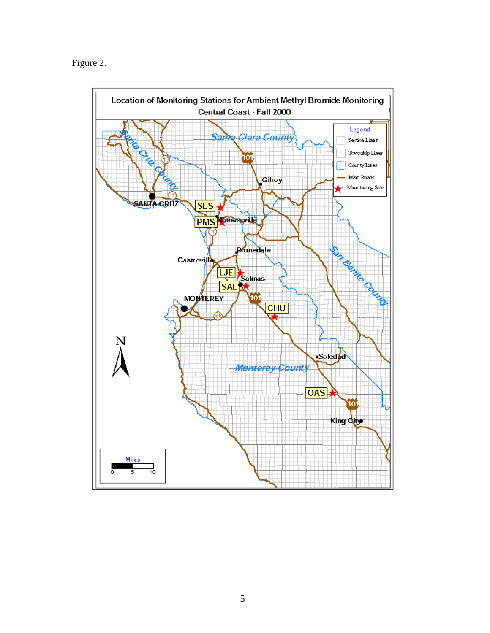Figure 2.

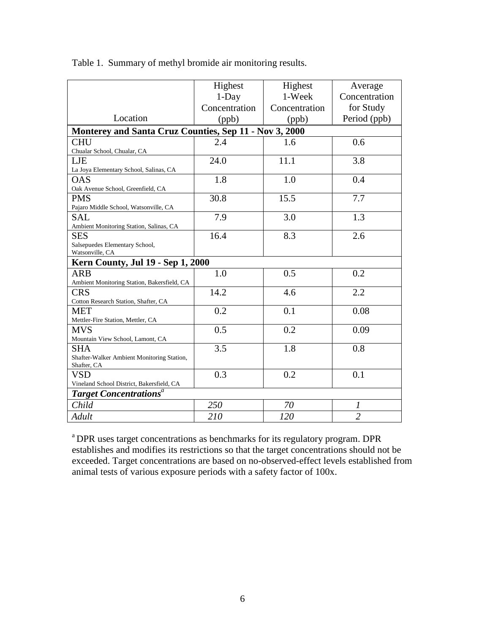|                                                           | Highest                                                | Highest       | Average        |  |  |  |  |
|-----------------------------------------------------------|--------------------------------------------------------|---------------|----------------|--|--|--|--|
|                                                           | $1$ -Day                                               | 1-Week        | Concentration  |  |  |  |  |
|                                                           | Concentration                                          | Concentration | for Study      |  |  |  |  |
| Location                                                  | (ppb)                                                  | (ppb)         | Period (ppb)   |  |  |  |  |
|                                                           | Monterey and Santa Cruz Counties, Sep 11 - Nov 3, 2000 |               |                |  |  |  |  |
| <b>CHU</b>                                                | 2.4                                                    | 1.6           | 0.6            |  |  |  |  |
| Chualar School, Chualar, CA                               |                                                        |               |                |  |  |  |  |
| LJE                                                       | 24.0                                                   | 11.1          | 3.8            |  |  |  |  |
| La Joya Elementary School, Salinas, CA                    |                                                        |               |                |  |  |  |  |
| <b>OAS</b>                                                | 1.8                                                    | 1.0           | 0.4            |  |  |  |  |
| Oak Avenue School, Greenfield, CA                         |                                                        |               |                |  |  |  |  |
| <b>PMS</b>                                                | 30.8                                                   | 15.5          | 7.7            |  |  |  |  |
| Pajaro Middle School, Watsonville, CA                     |                                                        |               |                |  |  |  |  |
| SAL                                                       | 7.9                                                    | 3.0           | 1.3            |  |  |  |  |
| Ambient Monitoring Station, Salinas, CA                   |                                                        |               |                |  |  |  |  |
| <b>SES</b>                                                | 16.4                                                   | 8.3           | 2.6            |  |  |  |  |
| Salsepuedes Elementary School,                            |                                                        |               |                |  |  |  |  |
|                                                           | Watsonville, CA                                        |               |                |  |  |  |  |
| Kern County, Jul 19 - Sep 1, 2000                         |                                                        |               |                |  |  |  |  |
| <b>ARB</b>                                                | 1.0                                                    | 0.5           | 0.2            |  |  |  |  |
| Ambient Monitoring Station, Bakersfield, CA               |                                                        |               |                |  |  |  |  |
| <b>CRS</b>                                                | 14.2                                                   | 4.6           | 2.2            |  |  |  |  |
| Cotton Research Station, Shafter, CA                      |                                                        |               |                |  |  |  |  |
| <b>MET</b>                                                | 0.2                                                    | 0.1           | 0.08           |  |  |  |  |
| Mettler-Fire Station, Mettler, CA                         |                                                        |               |                |  |  |  |  |
| <b>MVS</b>                                                | 0.5                                                    | 0.2           | 0.09           |  |  |  |  |
| Mountain View School, Lamont, CA                          |                                                        |               |                |  |  |  |  |
| <b>SHA</b>                                                | 3.5                                                    | 1.8           | 0.8            |  |  |  |  |
| Shafter-Walker Ambient Monitoring Station,<br>Shafter, CA |                                                        |               |                |  |  |  |  |
| VSD                                                       | 0.3                                                    | 0.2           | 0.1            |  |  |  |  |
| Vineland School District, Bakersfield, CA                 |                                                        |               |                |  |  |  |  |
| <b>Target Concentrations<sup>a</sup></b>                  |                                                        |               |                |  |  |  |  |
| Child                                                     | 250                                                    | 70            | 1              |  |  |  |  |
| Adult                                                     | 210                                                    | 120           | $\overline{2}$ |  |  |  |  |

Table 1. Summary of methyl bromide air monitoring results.

<sup>a</sup> DPR uses target concentrations as benchmarks for its regulatory program. DPR establishes and modifies its restrictions so that the target concentrations should not be exceeded. Target concentrations are based on no-observed-effect levels established from animal tests of various exposure periods with a safety factor of 100x.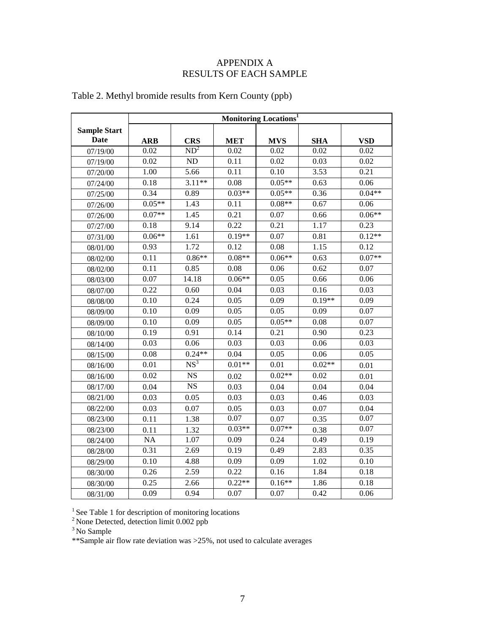#### APPENDIX A RESULTS OF EACH SAMPLE

|                     | <b>Monitoring Locations</b> <sup>1</sup> |                 |            |            |            |            |
|---------------------|------------------------------------------|-----------------|------------|------------|------------|------------|
| <b>Sample Start</b> |                                          |                 |            |            |            |            |
| Date                | <b>ARB</b>                               | <b>CRS</b>      | <b>MET</b> | <b>MVS</b> | <b>SHA</b> | <b>VSD</b> |
| 07/19/00            | 0.02                                     | ND <sup>2</sup> | 0.02       | 0.02       | 0.02       | 0.02       |
| 07/19/00            | 0.02                                     | ND              | 0.11       | 0.02       | 0.03       | 0.02       |
| 07/20/00            | 1.00                                     | 5.66            | 0.11       | 0.10       | 3.53       | 0.21       |
| 07/24/00            | 0.18                                     | $3.11**$        | 0.08       | $0.05**$   | 0.63       | 0.06       |
| 07/25/00            | 0.34                                     | 0.89            | $0.03**$   | $0.05**$   | 0.36       | $0.04**$   |
| 07/26/00            | $0.05**$                                 | 1.43            | 0.11       | $0.08**$   | 0.67       | 0.06       |
| 07/26/00            | $0.07**$                                 | 1.45            | 0.21       | 0.07       | 0.66       | $0.06**$   |
| 07/27/00            | 0.18                                     | 9.14            | 0.22       | 0.21       | 1.17       | 0.23       |
| 07/31/00            | $0.06**$                                 | 1.61            | $0.19**$   | 0.07       | 0.81       | $0.12**$   |
| 08/01/00            | 0.93                                     | 1.72            | 0.12       | 0.08       | 1.15       | 0.12       |
| 08/02/00            | 0.11                                     | $0.86**$        | $0.08**$   | $0.06**$   | 0.63       | $0.07**$   |
| 08/02/00            | 0.11                                     | 0.85            | 0.08       | 0.06       | 0.62       | 0.07       |
| 08/03/00            | 0.07                                     | 14.18           | $0.06**$   | 0.05       | 0.66       | 0.06       |
| 08/07/00            | 0.22                                     | 0.60            | 0.04       | 0.03       | 0.16       | 0.03       |
| 08/08/00            | 0.10                                     | 0.24            | 0.05       | 0.09       | $0.19**$   | 0.09       |
| 08/09/00            | 0.10                                     | 0.09            | 0.05       | 0.05       | 0.09       | 0.07       |
| 08/09/00            | 0.10                                     | 0.09            | 0.05       | $0.05**$   | 0.08       | 0.07       |
| 08/10/00            | 0.19                                     | 0.91            | 0.14       | 0.21       | 0.90       | 0.23       |
| 08/14/00            | 0.03                                     | 0.06            | 0.03       | 0.03       | 0.06       | 0.03       |
| 08/15/00            | 0.08                                     | $0.24**$        | 0.04       | 0.05       | 0.06       | 0.05       |
| 08/16/00            | 0.01                                     | NS <sup>3</sup> | $0.01**$   | 0.01       | $0.02**$   | 0.01       |
| 08/16/00            | 0.02                                     | <b>NS</b>       | 0.02       | $0.02**$   | 0.02       | 0.01       |
| 08/17/00            | 0.04                                     | NS              | 0.03       | 0.04       | 0.04       | 0.04       |
| 08/21/00            | 0.03                                     | 0.05            | 0.03       | 0.03       | 0.46       | 0.03       |
| 08/22/00            | 0.03                                     | 0.07            | 0.05       | 0.03       | 0.07       | 0.04       |
| 08/23/00            | 0.11                                     | 1.38            | 0.07       | 0.07       | 0.35       | 0.07       |
| 08/23/00            | 0.11                                     | 1.32            | $0.03**$   | $0.07**$   | 0.38       | 0.07       |
| 08/24/00            | $\rm NA$                                 | 1.07            | 0.09       | 0.24       | 0.49       | 0.19       |
| 08/28/00            | 0.31                                     | 2.69            | 0.19       | 0.49       | 2.83       | 0.35       |
| 08/29/00            | 0.10                                     | 4.88            | 0.09       | 0.09       | 1.02       | 0.10       |
| 08/30/00            | 0.26                                     | 2.59            | 0.22       | 0.16       | 1.84       | 0.18       |
| 08/30/00            | 0.25                                     | 2.66            | $0.22**$   | $0.16**$   | 1.86       | 0.18       |
| 08/31/00            | 0.09                                     | 0.94            | 0.07       | 0.07       | 0.42       | 0.06       |

# Table 2. Methyl bromide results from Kern County (ppb)

 $<sup>1</sup>$  See Table 1 for description of monitoring locations</sup>

 $2$  None Detected, detection limit 0.002 ppb

<sup>3</sup> No Sample

\*\*Sample air flow rate deviation was >25%, not used to calculate averages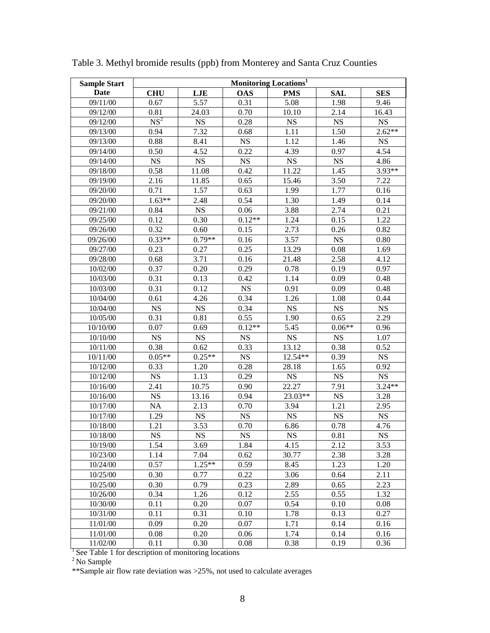| <b>Sample Start</b>                                 | <b>Monitoring Locations<sup>1</sup></b> |                        |                        |             |             |             |
|-----------------------------------------------------|-----------------------------------------|------------------------|------------------------|-------------|-------------|-------------|
| Date                                                | <b>CHU</b>                              | LJE                    | <b>OAS</b>             | <b>PMS</b>  | <b>SAL</b>  | <b>SES</b>  |
| 09/11/00                                            | 0.67                                    | 5.57                   | 0.31                   | 5.08        | 1.98        | 9.46        |
| 09/12/00                                            | 0.81                                    | 24.03                  | 0.70                   | 10.10       | 2.14        | 16.43       |
| 09/12/00                                            | NS <sup>2</sup>                         | $_{\rm NS}$            | 0.28                   | $_{\rm NS}$ | $_{\rm NS}$ | <b>NS</b>   |
| 09/13/00                                            | 0.94                                    | 7.32                   | 0.68                   | 1.11        | 1.50        | $2.62**$    |
| 09/13/00                                            | 0.88                                    | 8.41                   | <b>NS</b>              | 1.12        | 1.46        | <b>NS</b>   |
| 09/14/00                                            | 0.50                                    | 4.52                   | 0.22                   | 4.39        | 0.97        | 4.54        |
| 09/14/00                                            | $_{\rm NS}$                             | NS                     | NS                     | <b>NS</b>   | $_{\rm NS}$ | 4.86        |
| 09/18/00                                            | 0.58                                    | 11.08                  | 0.42                   | 11.22       | 1.45        | 3.93**      |
| 09/19/00                                            | 2.16                                    | 11.85                  | 0.65                   | 15.46       | 3.50        | 7.22        |
| 09/20/00                                            | 0.71                                    | 1.57                   | 0.63                   | 1.99        | 1.77        | 0.16        |
| 09/20/00                                            | $1.63**$                                | 2.48                   | 0.54                   | 1.30        | 1.49        | 0.14        |
| 09/21/00                                            | 0.84                                    | $_{\rm NS}$            | 0.06                   | 3.88        | 2.74        | 0.21        |
| 09/25/00                                            | 0.12                                    | 0.30                   | $0.12**$               | 1.24        | 0.15        | 1.22        |
| 09/26/00                                            | 0.32                                    | 0.60                   | 0.15                   | 2.73        | 0.26        | 0.82        |
| 09/26/00                                            | $0.33**$                                | $0.79**$               | 0.16                   | 3.57        | NS          | 0.80        |
| 09/27/00                                            | 0.23                                    | 0.27                   | 0.25                   | 13.29       | 0.08        | 1.69        |
| 09/28/00                                            | 0.68                                    | 3.71                   | 0.16                   | 21.48       | 2.58        | 4.12        |
| 10/02/00                                            | 0.37                                    | 0.20                   | 0.29                   | 0.78        | 0.19        | 0.97        |
| 10/03/00                                            | 0.31                                    | 0.13                   | 0.42                   | 1.14        | 0.09        | 0.48        |
| 10/03/00                                            | 0.31                                    | 0.12                   | $_{\rm NS}$            | 0.91        | 0.09        | 0.48        |
| 10/04/00                                            | 0.61                                    | 4.26                   | 0.34                   | 1.26        | 1.08        | 0.44        |
| 10/04/00                                            | $_{\rm NS}$                             | $_{\rm NS}$            | 0.34                   | $_{\rm NS}$ | $_{\rm NS}$ | <b>NS</b>   |
| 10/05/00                                            | 0.31                                    | 0.81                   | 0.55                   | 1.90        | 0.65        | 2.29        |
| 10/10/00                                            | 0.07                                    | 0.69                   | $0.12**$               | 5.45        | $0.06**$    | 0.96        |
| 10/10/00                                            | $_{\rm NS}$                             | $_{\rm NS}$            | <b>NS</b>              | $_{\rm NS}$ | <b>NS</b>   | 1.07        |
| 10/11/00                                            | 0.38                                    | 0.62                   | 0.33                   | 13.12       | 0.38        | 0.52        |
| 10/11/00                                            | $0.05**$                                | $0.25**$               | <b>NS</b>              | 12.54**     | 0.39        | $_{\rm NS}$ |
| 10/12/00                                            | 0.33                                    | 1.20                   | 0.28                   | 28.18       | 1.65        | 0.92        |
| 10/12/00                                            | NS                                      | 1.13                   | 0.29                   | <b>NS</b>   | <b>NS</b>   | <b>NS</b>   |
| 10/16/00                                            | 2.41                                    | 10.75                  | 0.90                   | 22.27       | 7.91        | $3.24**$    |
| 10/16/00                                            | $_{\rm NS}$                             | 13.16                  | 0.94                   | 23.03**     | <b>NS</b>   | 3.28        |
| 10/17/00                                            | <b>NA</b>                               | 2.13                   | 0.70                   | 3.94        | 1.21        | 2.95        |
| 10/17/00                                            | 1.29                                    | $_{\rm NS}$            | $_{\rm NS}$            | $_{\rm NS}$ | <b>NS</b>   | $_{\rm NS}$ |
| 10/18/00                                            | 1.21                                    | 3.53                   | 0.70                   | 6.86        | 0.78        | 4.76        |
| 10/18/00                                            | $\overline{\text{NS}}$                  | $\overline{\text{NS}}$ | $\overline{\text{NS}}$ | $_{\rm NS}$ | 0.81        | $_{\rm NS}$ |
| 10/19/00                                            | 1.54                                    | 3.69                   | 1.84                   | 4.15        | 2.12        | 3.53        |
| 10/23/00                                            | 1.14                                    | 7.04                   | 0.62                   | 30.77       | 2.38        | 3.28        |
| 10/24/00                                            | 0.57                                    | $1.25**$               | 0.59                   | 8.45        | 1.23        | 1.20        |
| 10/25/00                                            | 0.30                                    | 0.77                   | 0.22                   | 3.06        | 0.64        | 2.11        |
| 10/25/00                                            | 0.30                                    | 0.79                   | 0.23                   | 2.89        | 0.65        | 2.23        |
| 10/26/00                                            | 0.34                                    | 1.26                   | 0.12                   | 2.55        | 0.55        | 1.32        |
| 10/30/00                                            | 0.11                                    | 0.20                   | 0.07                   | 0.54        | 0.10        | 0.08        |
| 10/31/00                                            | 0.11                                    | 0.31                   | 0.10                   | 1.78        | 0.13        | 0.27        |
| 11/01/00                                            | 0.09                                    | 0.20                   | 0.07                   | 1.71        | 0.14        | 0.16        |
| 11/01/00                                            | 0.08                                    | 0.20                   | 0.06                   | 1.74        | 0.14        | 0.16        |
| 11/02/00                                            | 0.11                                    | 0.30                   | 0.08                   | 0.38        | 0.19        | 0.36        |
| See Table 1 for description of monitoring locations |                                         |                        |                        |             |             |             |

Table 3. Methyl bromide results (ppb) from Monterey and Santa Cruz Counties

 $2$  No Sample

\*\*Sample air flow rate deviation was >25%, not used to calculate averages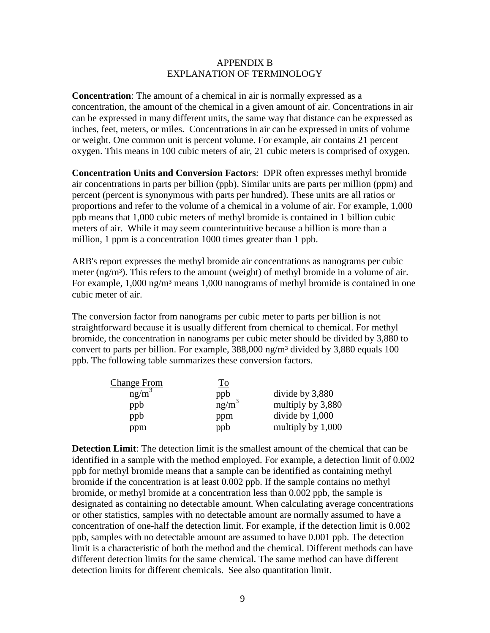#### APPENDIX B EXPLANATION OF TERMINOLOGY

**Concentration**: The amount of a chemical in air is normally expressed as a concentration, the amount of the chemical in a given amount of air. Concentrations in air can be expressed in many different units, the same way that distance can be expressed as inches, feet, meters, or miles. Concentrations in air can be expressed in units of volume or weight. One common unit is percent volume. For example, air contains 21 percent oxygen. This means in 100 cubic meters of air, 21 cubic meters is comprised of oxygen.

**Concentration Units and Conversion Factors**: DPR often expresses methyl bromide air concentrations in parts per billion (ppb). Similar units are parts per million (ppm) and percent (percent is synonymous with parts per hundred). These units are all ratios or proportions and refer to the volume of a chemical in a volume of air. For example, 1,000 ppb means that 1,000 cubic meters of methyl bromide is contained in 1 billion cubic meters of air. While it may seem counterintuitive because a billion is more than a million, 1 ppm is a concentration 1000 times greater than 1 ppb.

ARB's report expresses the methyl bromide air concentrations as nanograms per cubic meter  $(ng/m<sup>3</sup>)$ . This refers to the amount (weight) of methyl bromide in a volume of air. For example,  $1,000 \text{ ng/m}^3$  means  $1,000$  nanograms of methyl bromide is contained in one cubic meter of air.

The conversion factor from nanograms per cubic meter to parts per billion is not straightforward because it is usually different from chemical to chemical. For methyl bromide, the concentration in nanograms per cubic meter should be divided by 3,880 to convert to parts per billion. For example, 388,000 ng/m<sup>3</sup> divided by 3,880 equals 100 ppb. The following table summarizes these conversion factors.

| <b>Change From</b> | <u>To</u> |                   |
|--------------------|-----------|-------------------|
| $ng/m^3$           | ppb       | divide by 3,880   |
| ppb                | $ng/m^3$  | multiply by 3,880 |
| ppb                | ppm       | divide by 1,000   |
| ppm                | ppb       | multiply by 1,000 |

**Detection Limit**: The detection limit is the smallest amount of the chemical that can be identified in a sample with the method employed. For example, a detection limit of 0.002 ppb for methyl bromide means that a sample can be identified as containing methyl bromide if the concentration is at least 0.002 ppb. If the sample contains no methyl bromide, or methyl bromide at a concentration less than 0.002 ppb, the sample is designated as containing no detectable amount. When calculating average concentrations or other statistics, samples with no detectable amount are normally assumed to have a concentration of one-half the detection limit. For example, if the detection limit is 0.002 ppb, samples with no detectable amount are assumed to have 0.001 ppb. The detection limit is a characteristic of both the method and the chemical. Different methods can have different detection limits for the same chemical. The same method can have different detection limits for different chemicals. See also quantitation limit.